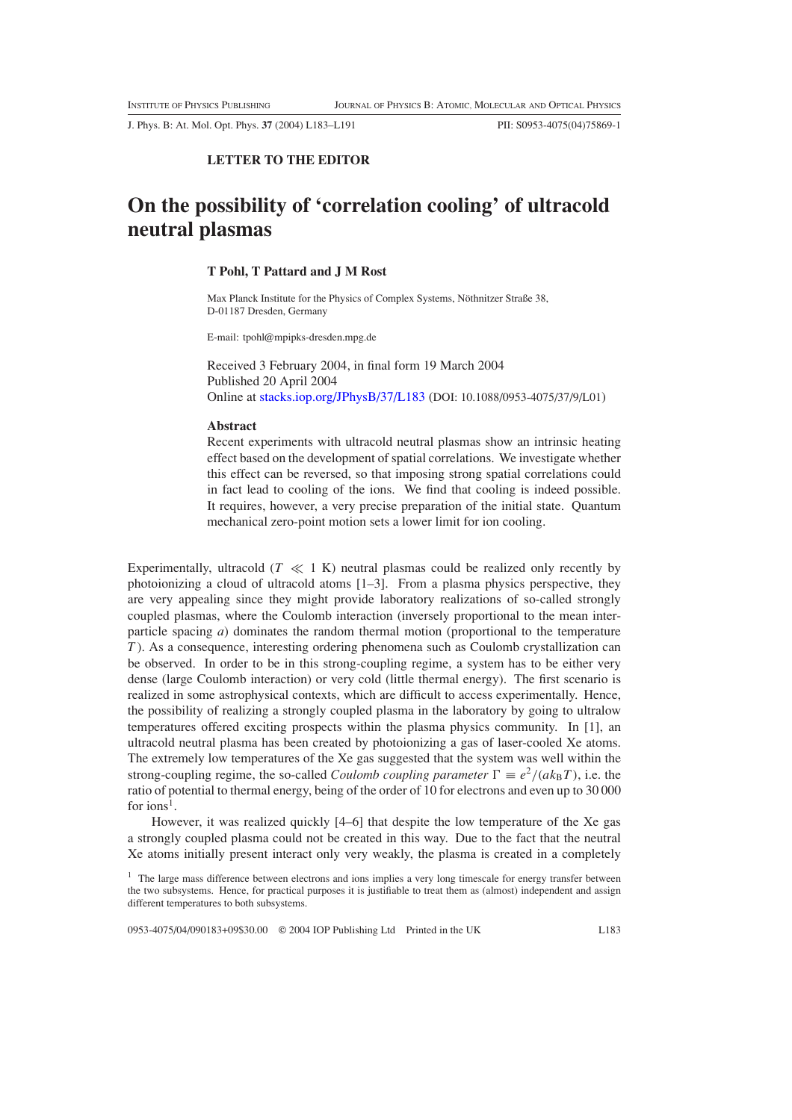J. Phys. B: At. Mol. Opt. Phys. **37** (2004) L183–L191 PII: S0953-4075(04)75869-1

# **LETTER TO THE EDITOR**

# **On the possibility of 'correlation cooling' of ultracold neutral plasmas**

## **T Pohl, T Pattard and J M Rost**

Max Planck Institute for the Physics of Complex Systems, Nöthnitzer Straße 38, D-01187 Dresden, Germany

E-mail: tpohl@mpipks-dresden.mpg.de

Received 3 February 2004, in final form 19 March 2004 Published 20 April 2004 Online at [stacks.iop.org/JPhysB/37/L183](http://stacks.iop.org/jb/37/L183) (DOI: 10.1088/0953-4075/37/9/L01)

#### **Abstract**

Recent experiments with ultracold neutral plasmas show an intrinsic heating effect based on the development of spatial correlations. We investigate whether this effect can be reversed, so that imposing strong spatial correlations could in fact lead to cooling of the ions. We find that cooling is indeed possible. It requires, however, a very precise preparation of the initial state. Quantum mechanical zero-point motion sets a lower limit for ion cooling.

Experimentally, ultracold  $(T \ll 1 \text{ K})$  neutral plasmas could be realized only recently by photoionizing a cloud of ultracold atoms [1–3]. From a plasma physics perspective, they are very appealing since they might provide laboratory realizations of so-called strongly coupled plasmas, where the Coulomb interaction (inversely proportional to the mean interparticle spacing *a*) dominates the random thermal motion (proportional to the temperature *T* ). As a consequence, interesting ordering phenomena such as Coulomb crystallization can be observed. In order to be in this strong-coupling regime, a system has to be either very dense (large Coulomb interaction) or very cold (little thermal energy). The first scenario is realized in some astrophysical contexts, which are difficult to access experimentally. Hence, the possibility of realizing a strongly coupled plasma in the laboratory by going to ultralow temperatures offered exciting prospects within the plasma physics community. In [1], an ultracold neutral plasma has been created by photoionizing a gas of laser-cooled Xe atoms. The extremely low temperatures of the Xe gas suggested that the system was well within the strong-coupling regime, the so-called *Coulomb coupling parameter*  $\Gamma = e^2/(ak_BT)$ , i.e. the ratio of potential to thermal energy, being of the order of 10 for electrons and even up to 30 000 for ions<sup>1</sup>.

However, it was realized quickly [4–6] that despite the low temperature of the Xe gas a strongly coupled plasma could not be created in this way. Due to the fact that the neutral Xe atoms initially present interact only very weakly, the plasma is created in a completely

0953-4075/04/090183+09\$30.00 © 2004 IOP Publishing Ltd Printed in the UK L183

 $<sup>1</sup>$  The large mass difference between electrons and ions implies a very long timescale for energy transfer between</sup> the two subsystems. Hence, for practical purposes it is justifiable to treat them as (almost) independent and assign different temperatures to both subsystems.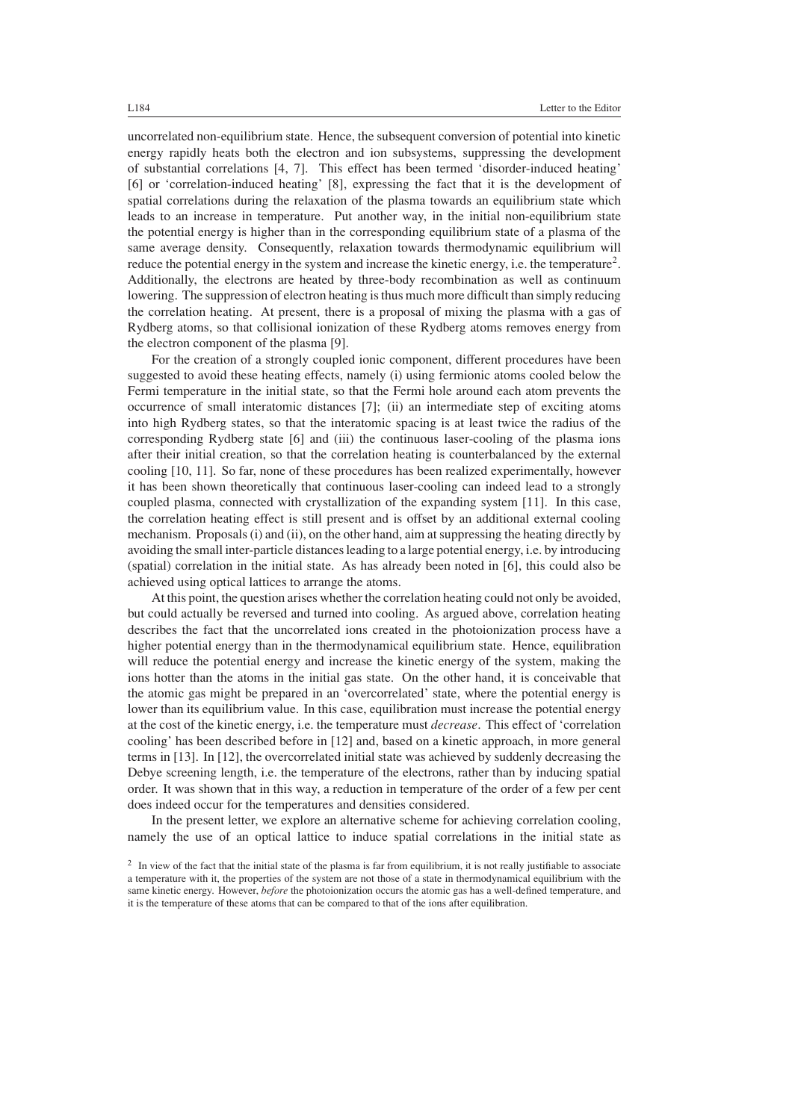uncorrelated non-equilibrium state. Hence, the subsequent conversion of potential into kinetic energy rapidly heats both the electron and ion subsystems, suppressing the development of substantial correlations [4, 7]. This effect has been termed 'disorder-induced heating' [6] or 'correlation-induced heating' [8], expressing the fact that it is the development of spatial correlations during the relaxation of the plasma towards an equilibrium state which leads to an increase in temperature. Put another way, in the initial non-equilibrium state the potential energy is higher than in the corresponding equilibrium state of a plasma of the same average density. Consequently, relaxation towards thermodynamic equilibrium will reduce the potential energy in the system and increase the kinetic energy, i.e. the temperature<sup>2</sup>. Additionally, the electrons are heated by three-body recombination as well as continuum lowering. The suppression of electron heating is thus much more difficult than simply reducing the correlation heating. At present, there is a proposal of mixing the plasma with a gas of Rydberg atoms, so that collisional ionization of these Rydberg atoms removes energy from the electron component of the plasma [9].

For the creation of a strongly coupled ionic component, different procedures have been suggested to avoid these heating effects, namely (i) using fermionic atoms cooled below the Fermi temperature in the initial state, so that the Fermi hole around each atom prevents the occurrence of small interatomic distances [7]; (ii) an intermediate step of exciting atoms into high Rydberg states, so that the interatomic spacing is at least twice the radius of the corresponding Rydberg state [6] and (iii) the continuous laser-cooling of the plasma ions after their initial creation, so that the correlation heating is counterbalanced by the external cooling [10, 11]. So far, none of these procedures has been realized experimentally, however it has been shown theoretically that continuous laser-cooling can indeed lead to a strongly coupled plasma, connected with crystallization of the expanding system [11]. In this case, the correlation heating effect is still present and is offset by an additional external cooling mechanism. Proposals (i) and (ii), on the other hand, aim at suppressing the heating directly by avoiding the small inter-particle distances leading to a large potential energy, i.e. by introducing (spatial) correlation in the initial state. As has already been noted in [6], this could also be achieved using optical lattices to arrange the atoms.

At this point, the question arises whether the correlation heating could not only be avoided, but could actually be reversed and turned into cooling. As argued above, correlation heating describes the fact that the uncorrelated ions created in the photoionization process have a higher potential energy than in the thermodynamical equilibrium state. Hence, equilibration will reduce the potential energy and increase the kinetic energy of the system, making the ions hotter than the atoms in the initial gas state. On the other hand, it is conceivable that the atomic gas might be prepared in an 'overcorrelated' state, where the potential energy is lower than its equilibrium value. In this case, equilibration must increase the potential energy at the cost of the kinetic energy, i.e. the temperature must *decrease*. This effect of 'correlation cooling' has been described before in [12] and, based on a kinetic approach, in more general terms in [13]. In [12], the overcorrelated initial state was achieved by suddenly decreasing the Debye screening length, i.e. the temperature of the electrons, rather than by inducing spatial order. It was shown that in this way, a reduction in temperature of the order of a few per cent does indeed occur for the temperatures and densities considered.

In the present letter, we explore an alternative scheme for achieving correlation cooling, namely the use of an optical lattice to induce spatial correlations in the initial state as

<sup>&</sup>lt;sup>2</sup> In view of the fact that the initial state of the plasma is far from equilibrium, it is not really justifiable to associate a temperature with it, the properties of the system are not those of a state in thermodynamical equilibrium with the same kinetic energy. However, *before* the photoionization occurs the atomic gas has a well-defined temperature, and it is the temperature of these atoms that can be compared to that of the ions after equilibration.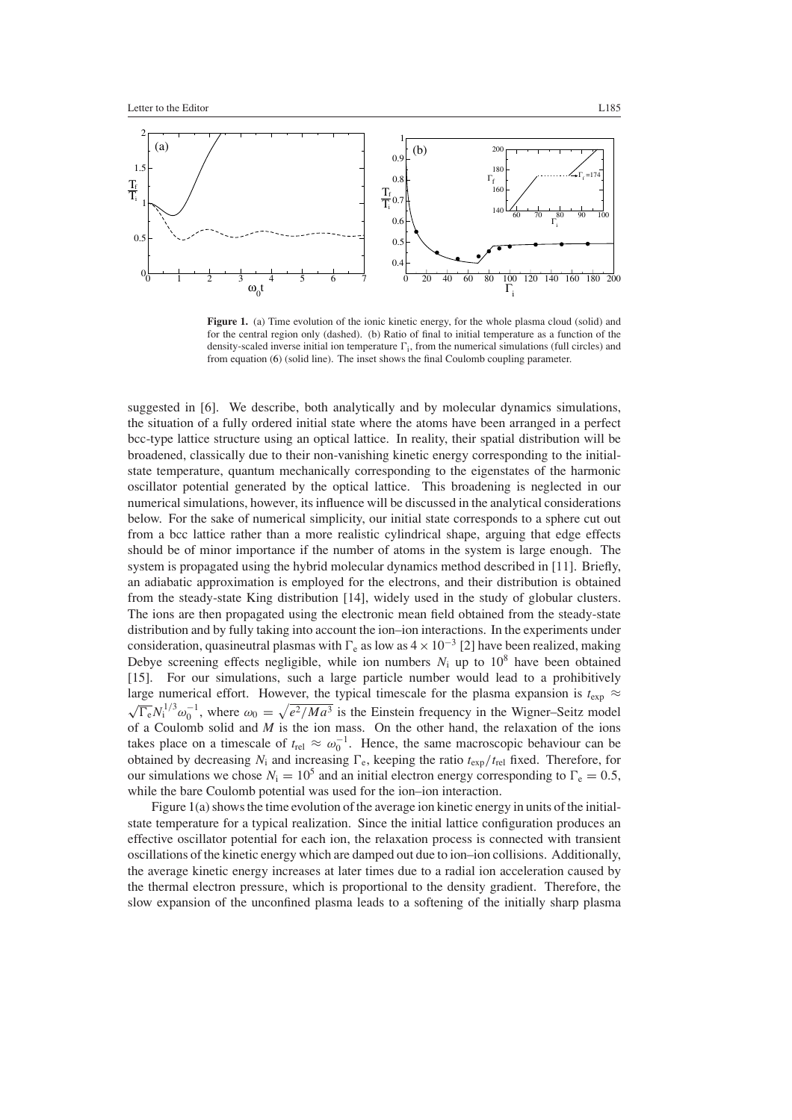

<span id="page-2-0"></span>Figure 1. (a) Time evolution of the ionic kinetic energy, for the whole plasma cloud (solid) and for the central region only (dashed). (b) Ratio of final to initial temperature as a function of the density-scaled inverse initial ion temperature  $\Gamma_i$ , from the numerical simulations (full circles) and from equation [\(6\)](#page-4-0) (solid line). The inset shows the final Coulomb coupling parameter.

suggested in [6]. We describe, both analytically and by molecular dynamics simulations, the situation of a fully ordered initial state where the atoms have been arranged in a perfect bcc-type lattice structure using an optical lattice. In reality, their spatial distribution will be broadened, classically due to their non-vanishing kinetic energy corresponding to the initialstate temperature, quantum mechanically corresponding to the eigenstates of the harmonic oscillator potential generated by the optical lattice. This broadening is neglected in our numerical simulations, however, its influence will be discussed in the analytical considerations below. For the sake of numerical simplicity, our initial state corresponds to a sphere cut out from a bcc lattice rather than a more realistic cylindrical shape, arguing that edge effects should be of minor importance if the number of atoms in the system is large enough. The system is propagated using the hybrid molecular dynamics method described in [11]. Briefly, an adiabatic approximation is employed for the electrons, and their distribution is obtained from the steady-state King distribution [14], widely used in the study of globular clusters. The ions are then propagated using the electronic mean field obtained from the steady-state distribution and by fully taking into account the ion–ion interactions. In the experiments under consideration, quasineutral plasmas with  $\Gamma_e$  as low as  $4 \times 10^{-3}$  [2] have been realized, making Debye screening effects negligible, while ion numbers  $N_i$  up to  $10^8$  have been obtained [15]. For our simulations, such a large particle number would lead to a prohibitively large numerical effort. However, the typical timescale for the plasma expansion is  $t_{\text{exp}} \approx \sqrt{\Gamma_{\text{e}} N_1^{1/3} \omega_0^{-1}}$ , where  $\omega_0 = \sqrt{e^2/Ma^3}$  is the Einstein frequency in the Wigner–Seitz model of a Coulomb solid and *M* is the ion mass. On the other hand, the relaxation of the ions takes place on a timescale of  $t_{rel} \approx \omega_0^{-1}$ . Hence, the same macroscopic behaviour can be obtained by decreasing  $N_i$  and increasing  $\Gamma_e$ , keeping the ratio  $t_{exp}/t_{rel}$  fixed. Therefore, for our simulations we chose  $N_i = 10^5$  and an initial electron energy corresponding to  $\Gamma_e = 0.5$ , while the bare Coulomb potential was used for the ion–ion interaction.

Figure [1\(](#page-2-0)a) shows the time evolution of the average ion kinetic energy in units of the initialstate temperature for a typical realization. Since the initial lattice configuration produces an effective oscillator potential for each ion, the relaxation process is connected with transient oscillations of the kinetic energy which are damped out due to ion–ion collisions. Additionally, the average kinetic energy increases at later times due to a radial ion acceleration caused by the thermal electron pressure, which is proportional to the density gradient. Therefore, the slow expansion of the unconfined plasma leads to a softening of the initially sharp plasma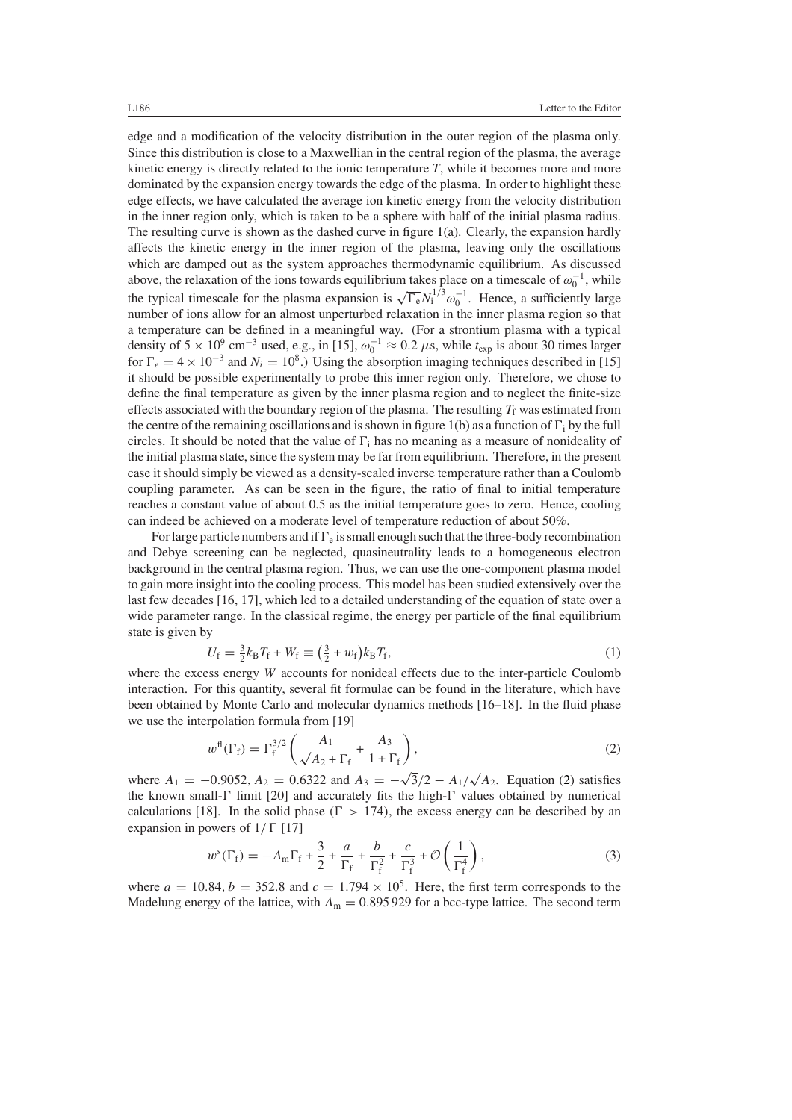edge and a modification of the velocity distribution in the outer region of the plasma only. Since this distribution is close to a Maxwellian in the central region of the plasma, the average kinetic energy is directly related to the ionic temperature *T*, while it becomes more and more dominated by the expansion energy towards the edge of the plasma. In order to highlight these edge effects, we have calculated the average ion kinetic energy from the velocity distribution in the inner region only, which is taken to be a sphere with half of the initial plasma radius. The resulting curve is shown as the dashed curve in figure  $1(a)$  $1(a)$ . Clearly, the expansion hardly affects the kinetic energy in the inner region of the plasma, leaving only the oscillations which are damped out as the system approaches thermodynamic equilibrium. As discussed above, the relaxation of the ions towards equilibrium takes place on a timescale of  $\omega_0^{-1}$ , while the typical timescale for the plasma expansion is  $\sqrt{\Gamma_e} N_1^{1/3} \omega_0^{-1}$ . Hence, a sufficiently large number of ions allow for an almost unperturbed relaxation in the inner plasma region so that a temperature can be defined in a meaningful way. (For a strontium plasma with a typical density of 5 × 10<sup>9</sup> cm<sup>-3</sup> used, e.g., in [15],  $\omega_0^{-1} \approx 0.2 \mu s$ , while  $t_{exp}$  is about 30 times larger for  $\Gamma_e = 4 \times 10^{-3}$  and  $N_i = 10^8$ .) Using the absorption imaging techniques described in [15] it should be possible experimentally to probe this inner region only. Therefore, we chose to define the final temperature as given by the inner plasma region and to neglect the finite-size effects associated with the boundary region of the plasma. The resulting  $T_f$  was estimated from the centre of the remaining oscillations and is shown in figure [1\(](#page-2-0)b) as a function of  $\Gamma_i$  by the full circles. It should be noted that the value of  $\Gamma_i$  has no meaning as a measure of nonideality of the initial plasma state, since the system may be far from equilibrium. Therefore, in the present case it should simply be viewed as a density-scaled inverse temperature rather than a Coulomb coupling parameter. As can be seen in the figure, the ratio of final to initial temperature reaches a constant value of about 0.5 as the initial temperature goes to zero. Hence, cooling can indeed be achieved on a moderate level of temperature reduction of about 50%.

For large particle numbers and if  $\Gamma_e$  is small enough such that the three-body recombination and Debye screening can be neglected, quasineutrality leads to a homogeneous electron background in the central plasma region. Thus, we can use the one-component plasma model to gain more insight into the cooling process. This model has been studied extensively over the last few decades [16, 17], which led to a detailed understanding of the equation of state over a wide parameter range. In the classical regime, the energy per particle of the final equilibrium state is given by

$$
U_{\rm f} = \frac{3}{2} k_{\rm B} T_{\rm f} + W_{\rm f} \equiv \left(\frac{3}{2} + w_{\rm f}\right) k_{\rm B} T_{\rm f},\tag{1}
$$

where the excess energy *W* accounts for nonideal effects due to the inter-particle Coulomb interaction. For this quantity, several fit formulae can be found in the literature, which have been obtained by Monte Carlo and molecular dynamics methods [16–18]. In the fluid phase we use the interpolation formula from [19]

$$
w^{\text{fl}}(\Gamma_{\text{f}}) = \Gamma_{\text{f}}^{3/2} \left( \frac{A_1}{\sqrt{A_2 + \Gamma_{\text{f}}}} + \frac{A_3}{1 + \Gamma_{\text{f}}} \right),\tag{2}
$$

<span id="page-3-0"></span>where  $A_1 = -0.9052$ ,  $A_2 = 0.6322$  and  $A_3 = -\sqrt{3}/2 - A_1/\sqrt{A_2}$ . Equation [\(2\)](#page-3-0) satisfies the known small- $\Gamma$  limit [20] and accurately fits the high- $\Gamma$  values obtained by numerical calculations [18]. In the solid phase  $(\Gamma > 174)$ , the excess energy can be described by an expansion in powers of  $1/\Gamma$  [17]

$$
w^{s}(\Gamma_{f}) = -A_{m}\Gamma_{f} + \frac{3}{2} + \frac{a}{\Gamma_{f}} + \frac{b}{\Gamma_{f}^{2}} + \frac{c}{\Gamma_{f}^{3}} + \mathcal{O}\left(\frac{1}{\Gamma_{f}^{4}}\right),
$$
\n(3)

where  $a = 10.84$ ,  $b = 352.8$  and  $c = 1.794 \times 10^5$ . Here, the first term corresponds to the Madelung energy of the lattice, with  $A_m = 0.895929$  for a bcc-type lattice. The second term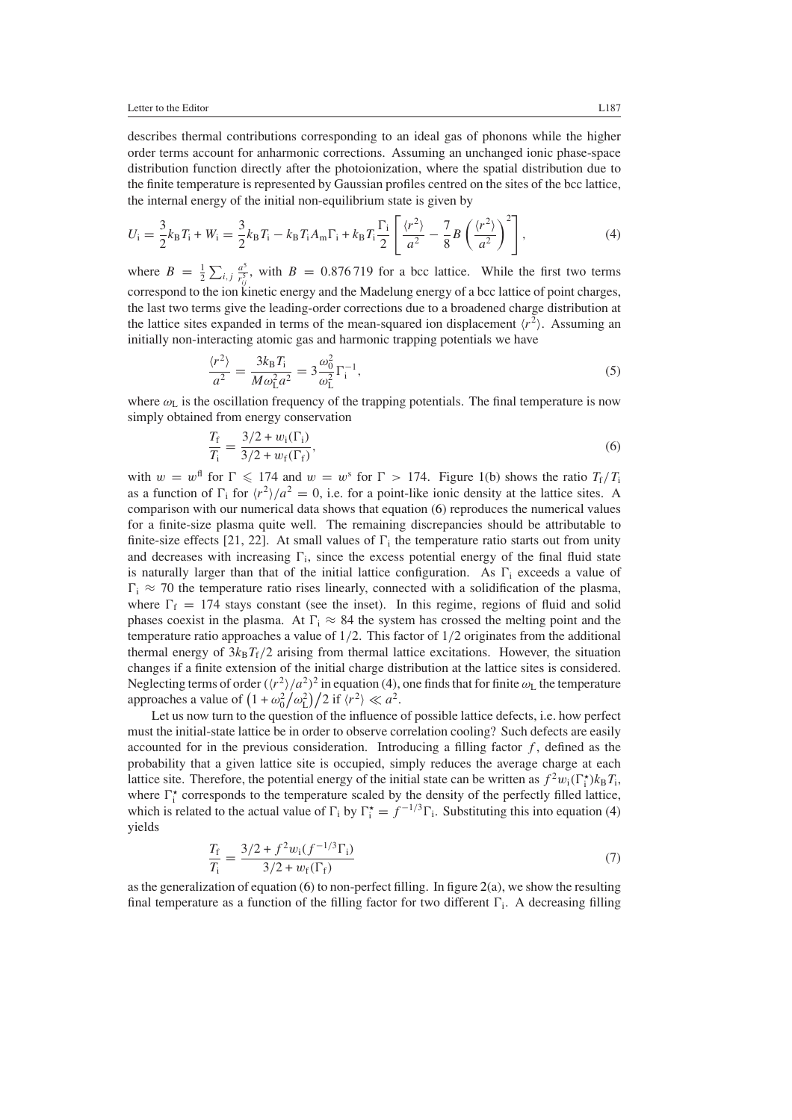describes thermal contributions corresponding to an ideal gas of phonons while the higher order terms account for anharmonic corrections. Assuming an unchanged ionic phase-space distribution function directly after the photoionization, where the spatial distribution due to the finite temperature is represented by Gaussian profiles centred on the sites of the bcc lattice, the internal energy of the initial non-equilibrium state is given by

<span id="page-4-1"></span>
$$
U_{\rm i} = \frac{3}{2} k_{\rm B} T_{\rm i} + W_{\rm i} = \frac{3}{2} k_{\rm B} T_{\rm i} - k_{\rm B} T_{\rm i} A_{\rm m} \Gamma_{\rm i} + k_{\rm B} T_{\rm i} \frac{\Gamma_{\rm i}}{2} \left[ \frac{\langle r^2 \rangle}{a^2} - \frac{7}{8} B \left( \frac{\langle r^2 \rangle}{a^2} \right)^2 \right],\tag{4}
$$

where  $B = \frac{1}{2} \sum_{i,j} \frac{a^5}{r_{ij}^5}$ , with  $B = 0.876719$  for a bcc lattice. While the first two terms correspond to the ion kinetic energy and the Madelung energy of a bcc lattice of point charges, the last two terms give the leading-order corrections due to a broadened charge distribution at the lattice sites expanded in terms of the mean-squared ion displacement  $\langle r^2 \rangle$ . Assuming an initially non-interacting atomic gas and harmonic trapping potentials we have

$$
\frac{\langle r^2 \rangle}{a^2} = \frac{3k_B T_i}{M \omega_{\rm L}^2 a^2} = 3 \frac{\omega_0^2}{\omega_{\rm L}^2} \Gamma_{\rm i}^{-1},\tag{5}
$$

<span id="page-4-2"></span><span id="page-4-0"></span>where  $\omega_L$  is the oscillation frequency of the trapping potentials. The final temperature is now simply obtained from energy conservation

$$
\frac{T_{\rm f}}{T_{\rm i}} = \frac{3/2 + w_{\rm i}(\Gamma_{\rm i})}{3/2 + w_{\rm f}(\Gamma_{\rm f})},\tag{6}
$$

with  $w = w^{\text{fl}}$  for  $\Gamma \le 174$  and  $w = w^{\text{s}}$  for  $\Gamma > 174$ . Figure [1\(](#page-2-0)b) shows the ratio  $T_f/T_i$ as a function of  $\Gamma_i$  for  $\langle r^2 \rangle/a^2 = 0$ , i.e. for a point-like ionic density at the lattice sites. A comparison with our numerical data shows that equation [\(6\)](#page-4-0) reproduces the numerical values for a finite-size plasma quite well. The remaining discrepancies should be attributable to finite-size effects [21, 22]. At small values of  $\Gamma_i$  the temperature ratio starts out from unity and decreases with increasing  $\Gamma_i$ , since the excess potential energy of the final fluid state is naturally larger than that of the initial lattice configuration. As  $\Gamma_i$  exceeds a value of  $\Gamma_i \approx 70$  the temperature ratio rises linearly, connected with a solidification of the plasma, where  $\Gamma_f = 174$  stays constant (see the inset). In this regime, regions of fluid and solid phases coexist in the plasma. At  $\Gamma_i \approx 84$  the system has crossed the melting point and the temperature ratio approaches a value of 1*/*2. This factor of 1*/*2 originates from the additional thermal energy of  $3k_B T_f/2$  arising from thermal lattice excitations. However, the situation changes if a finite extension of the initial charge distribution at the lattice sites is considered. Neglecting terms of order  $(\langle r^2 \rangle/a^2)^2$  in equation [\(4\)](#page-4-1), one finds that for finite  $\omega_L$  the temperature approaches a value of  $(1 + \omega_0^2/\omega_L^2)/2$  if  $\langle r^2 \rangle \ll a^2$ .

Let us now turn to the question of the influence of possible lattice defects, i.e. how perfect must the initial-state lattice be in order to observe correlation cooling? Such defects are easily accounted for in the previous consideration. Introducing a filling factor *f* , defined as the probability that a given lattice site is occupied, simply reduces the average charge at each lattice site. Therefore, the potential energy of the initial state can be written as  $f^2w_i(\Gamma_i^*)k_BT_i$ , where  $\Gamma_i^*$  corresponds to the temperature scaled by the density of the perfectly filled lattice, which is related to the actual value of  $\Gamma_i$  by  $\Gamma_i^* = f^{-1/3} \Gamma_i$ . Substituting this into equation [\(4\)](#page-4-1) yields

$$
\frac{T_{\rm f}}{T_{\rm i}} = \frac{3/2 + f^2 w_{\rm i} (f^{-1/3} \Gamma_{\rm i})}{3/2 + w_{\rm f} (\Gamma_{\rm f})} \tag{7}
$$

as the generalization of equation [\(6\)](#page-4-0) to non-perfect filling. In figure  $2(a)$  $2(a)$ , we show the resulting final temperature as a function of the filling factor for two different  $\Gamma_i$ . A decreasing filling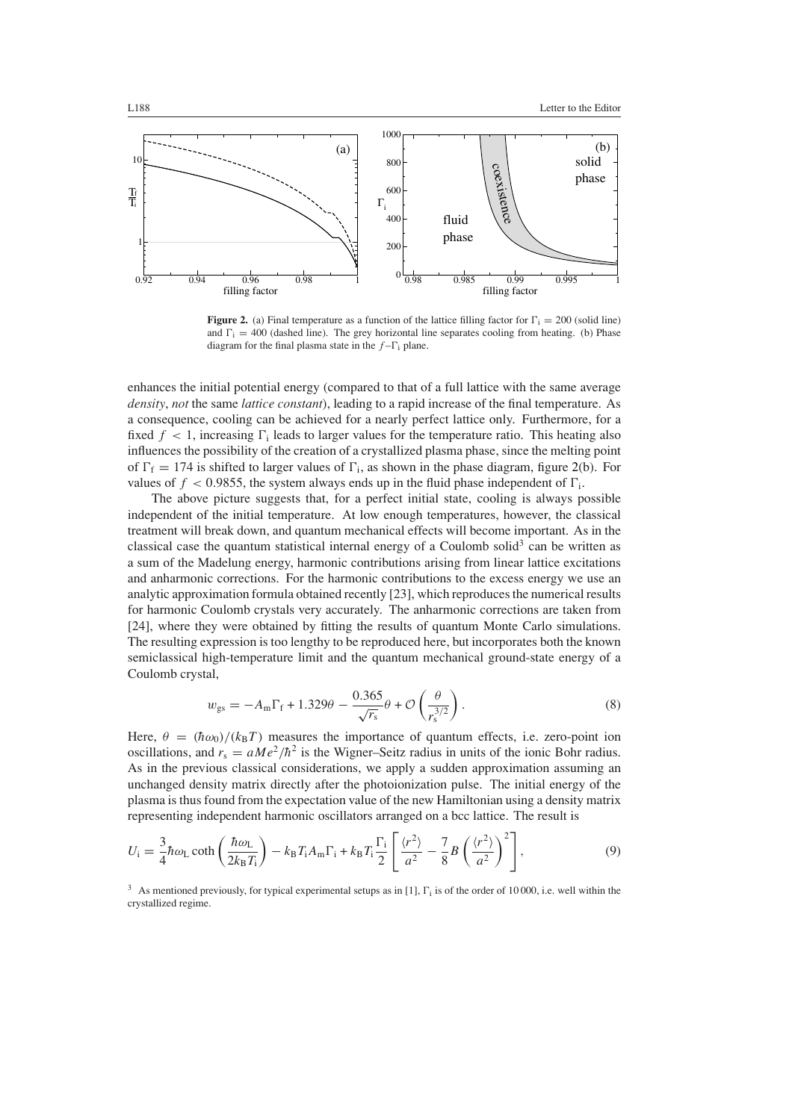

<span id="page-5-0"></span>**Figure 2.** (a) Final temperature as a function of the lattice filling factor for  $\Gamma_i = 200$  (solid line) and  $\Gamma_i = 400$  (dashed line). The grey horizontal line separates cooling from heating. (b) Phase diagram for the final plasma state in the  $f - \Gamma_i$  plane.

enhances the initial potential energy (compared to that of a full lattice with the same average *density*, *not* the same *lattice constant*), leading to a rapid increase of the final temperature. As a consequence, cooling can be achieved for a nearly perfect lattice only. Furthermore, for a fixed  $f < 1$ , increasing  $\Gamma_i$  leads to larger values for the temperature ratio. This heating also influences the possibility of the creation of a crystallized plasma phase, since the melting point of  $\Gamma_f = 174$  is shifted to larger values of  $\Gamma_i$ , as shown in the phase diagram, figure [2\(](#page-5-0)b). For values of  $f < 0.9855$ , the system always ends up in the fluid phase independent of  $\Gamma_i$ .

The above picture suggests that, for a perfect initial state, cooling is always possible independent of the initial temperature. At low enough temperatures, however, the classical treatment will break down, and quantum mechanical effects will become important. As in the classical case the quantum statistical internal energy of a Coulomb solid<sup>3</sup> can be written as a sum of the Madelung energy, harmonic contributions arising from linear lattice excitations and anharmonic corrections. For the harmonic contributions to the excess energy we use an analytic approximation formula obtained recently [23], which reproduces the numerical results for harmonic Coulomb crystals very accurately. The anharmonic corrections are taken from [24], where they were obtained by fitting the results of quantum Monte Carlo simulations. The resulting expression is too lengthy to be reproduced here, but incorporates both the known semiclassical high-temperature limit and the quantum mechanical ground-state energy of a Coulomb crystal,

$$
w_{gs} = -A_m \Gamma_f + 1.329\theta - \frac{0.365}{\sqrt{r_s}} \theta + \mathcal{O}\left(\frac{\theta}{r_s^{3/2}}\right). \tag{8}
$$

<span id="page-5-1"></span>Here,  $\theta = (\hbar \omega_0)/(k_B T)$  measures the importance of quantum effects, i.e. zero-point ion oscillations, and  $r_s = aMe^2/\hbar^2$  is the Wigner–Seitz radius in units of the ionic Bohr radius. As in the previous classical considerations, we apply a sudden approximation assuming an unchanged density matrix directly after the photoionization pulse. The initial energy of the plasma is thus found from the expectation value of the new Hamiltonian using a density matrix representing independent harmonic oscillators arranged on a bcc lattice. The result is

$$
U_{\rm i} = \frac{3}{4} \hbar \omega_{\rm L} \coth\left(\frac{\hbar \omega_{\rm L}}{2k_{\rm B}T_{\rm i}}\right) - k_{\rm B} T_{\rm i} A_{\rm m} \Gamma_{\rm i} + k_{\rm B} T_{\rm i} \frac{\Gamma_{\rm i}}{2} \left[\frac{\langle r^2 \rangle}{a^2} - \frac{7}{8} B \left(\frac{\langle r^2 \rangle}{a^2}\right)^2\right],\tag{9}
$$

 $3$  As mentioned previously, for typical experimental setups as in [1],  $\Gamma_i$  is of the order of 10000, i.e. well within the crystallized regime.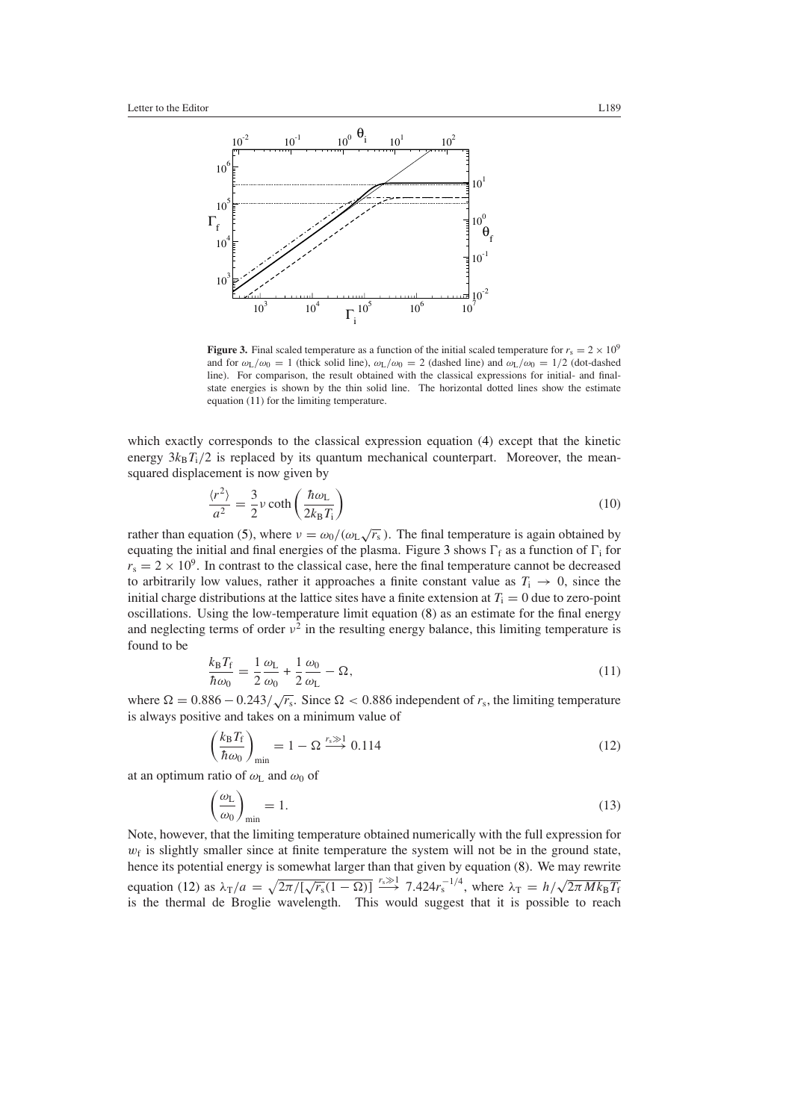

<span id="page-6-1"></span>**Figure 3.** Final scaled temperature as a function of the initial scaled temperature for  $r_s = 2 \times 10^9$ and for  $\omega_L/\omega_0 = 1$  (thick solid line),  $\omega_L/\omega_0 = 2$  (dashed line) and  $\omega_L/\omega_0 = 1/2$  (dot-dashed line). For comparison, the result obtained with the classical expressions for initial- and finalstate energies is shown by the thin solid line. The horizontal dotted lines show the estimate equation [\(11\)](#page-6-0) for the limiting temperature.

which exactly corresponds to the classical expression equation [\(4\)](#page-4-1) except that the kinetic energy  $3k_B T_i/2$  is replaced by its quantum mechanical counterpart. Moreover, the meansquared displacement is now given by

$$
\frac{\langle r^2 \rangle}{a^2} = \frac{3}{2} \nu \coth\left(\frac{\hbar \omega_L}{2k_B T_i}\right) \tag{10}
$$

rather than equation [\(5\)](#page-4-2), where  $v = \omega_0/(\omega_L \sqrt{r_s})$ . The final temperature is again obtained by equating the initial and final energies of the plasma. Figure [3](#page-6-1) shows  $\Gamma_f$  as a function of  $\Gamma_i$  for  $r_s = 2 \times 10^9$ . In contrast to the classical case, here the final temperature cannot be decreased to arbitrarily low values, rather it approaches a finite constant value as  $T_i \rightarrow 0$ , since the initial charge distributions at the lattice sites have a finite extension at  $T_i = 0$  due to zero-point oscillations. Using the low-temperature limit equation [\(8\)](#page-5-1) as an estimate for the final energy and neglecting terms of order  $v^2$  in the resulting energy balance, this limiting temperature is found to be

$$
\frac{k_{\rm B}T_{\rm f}}{\hbar\omega_0} = \frac{1}{2}\frac{\omega_{\rm L}}{\omega_0} + \frac{1}{2}\frac{\omega_0}{\omega_{\rm L}} - \Omega,\tag{11}
$$

<span id="page-6-2"></span><span id="page-6-0"></span>where  $\Omega = 0.886 - 0.243 / \sqrt{r_s}$ . Since  $\Omega < 0.886$  independent of  $r_s$ , the limiting temperature is always positive and takes on a minimum value of

$$
\left(\frac{k_{\rm B}T_{\rm f}}{\hbar\omega_0}\right)_{\rm min} = 1 - \Omega \xrightarrow{r_s \gg 1} 0.114\tag{12}
$$

at an optimum ratio of  $\omega_L$  and  $\omega_0$  of

$$
\left(\frac{\omega_{\rm L}}{\omega_0}\right)_{\rm min} = 1. \tag{13}
$$

Note, however, that the limiting temperature obtained numerically with the full expression for  $w_f$  is slightly smaller since at finite temperature the system will not be in the ground state, hence its potential energy is somewhat larger than that given by equation [\(8\)](#page-5-1). We may rewrite equation [\(12\)](#page-6-2) as  $\lambda_T/a = \sqrt{2\pi/[\sqrt{r_s}(1-\Omega)]} \stackrel{r_s \gg 1}{\longrightarrow} 7.424r_s^{-1/4}$ , where  $\lambda_T = h/\sqrt{2\pi M k_B T_f}$ is the thermal de Broglie wavelength. This would suggest that it is possible to reach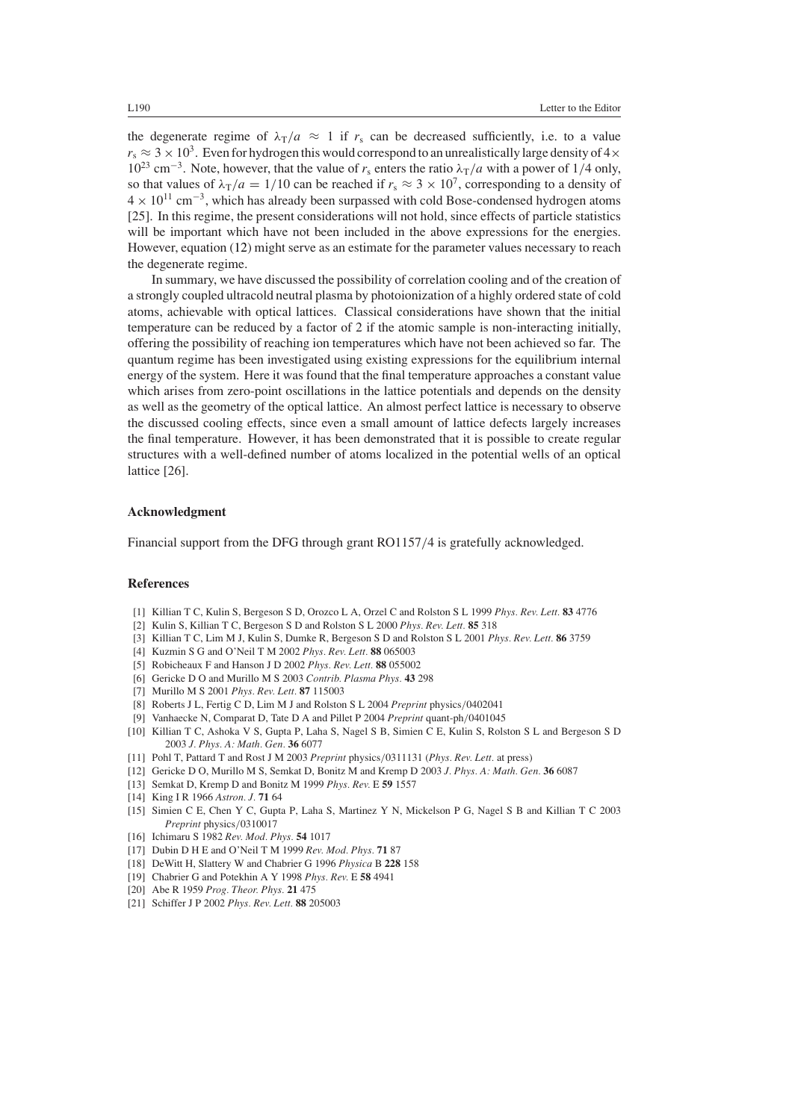the degenerate regime of  $\lambda_T/a \approx 1$  if  $r_s$  can be decreased sufficiently, i.e. to a value  $r_s \approx 3 \times 10^3$ . Even for hydrogen this would correspond to an unrealistically large density of  $4 \times$  $10^{23}$  cm<sup>-3</sup>. Note, however, that the value of *r*<sub>s</sub> enters the ratio  $\lambda_T/a$  with a power of 1/4 only, so that values of  $\lambda_T/a = 1/10$  can be reached if  $r_s \approx 3 \times 10^7$ , corresponding to a density of <sup>4</sup> <sup>×</sup> 1011 cm−3, which has already been surpassed with cold Bose-condensed hydrogen atoms [25]. In this regime, the present considerations will not hold, since effects of particle statistics will be important which have not been included in the above expressions for the energies. However, equation [\(12\)](#page-6-2) might serve as an estimate for the parameter values necessary to reach the degenerate regime.

In summary, we have discussed the possibility of correlation cooling and of the creation of a strongly coupled ultracold neutral plasma by photoionization of a highly ordered state of cold atoms, achievable with optical lattices. Classical considerations have shown that the initial temperature can be reduced by a factor of 2 if the atomic sample is non-interacting initially, offering the possibility of reaching ion temperatures which have not been achieved so far. The quantum regime has been investigated using existing expressions for the equilibrium internal energy of the system. Here it was found that the final temperature approaches a constant value which arises from zero-point oscillations in the lattice potentials and depends on the density as well as the geometry of the optical lattice. An almost perfect lattice is necessary to observe the discussed cooling effects, since even a small amount of lattice defects largely increases the final temperature. However, it has been demonstrated that it is possible to create regular structures with a well-defined number of atoms localized in the potential wells of an optical lattice [26].

# **Acknowledgment**

Financial support from the DFG through grant RO1157*/*4 is gratefully acknowledged.

# **References**

- [1] Killian T C, Kulin S, Bergeson S D, Orozco L A, Orzel C and Rolston S L 1999 *Phys. Rev. Lett.* **83** 4776
- [2] Kulin S, Killian T C, Bergeson S D and Rolston S L 2000 *Phys. Rev. Lett.* **85** 318
- [3] Killian T C, Lim M J, Kulin S, Dumke R, Bergeson S D and Rolston S L 2001 *Phys. Rev. Lett.* **86** 3759
- [4] Kuzmin S G and O'Neil T M 2002 *Phys. Rev. Lett.* **88** 065003
- [5] Robicheaux F and Hanson J D 2002 *Phys. Rev. Lett.* **88** 055002
- [6] Gericke D O and Murillo M S 2003 *Contrib. Plasma Phys.* **43** 298
- [7] Murillo M S 2001 *Phys. Rev. Lett.* **87** 115003
- [8] Roberts J L, Fertig C D, Lim M J and Rolston S L 2004 *Preprint* physics*/*0402041
- [9] Vanhaecke N, Comparat D, Tate D A and Pillet P 2004 *Preprint* quant-ph*/*0401045
- [10] Killian T C, Ashoka V S, Gupta P, Laha S, Nagel S B, Simien C E, Kulin S, Rolston S L and Bergeson S D 2003 *J. Phys. A: Math. Gen.* **36** 6077
- [11] Pohl T, Pattard T and Rost J M 2003 *Preprint* physics*/*0311131 (*Phys. Rev. Lett.* at press)
- [12] Gericke D O, Murillo M S, Semkat D, Bonitz M and Kremp D 2003 *J. Phys. A: Math. Gen.* **36** 6087
- [13] Semkat D, Kremp D and Bonitz M 1999 *Phys. Rev.* E **59** 1557
- [14] King I R 1966 *Astron. J.* **71** 64
- [15] Simien C E, Chen Y C, Gupta P, Laha S, Martinez Y N, Mickelson P G, Nagel S B and Killian T C 2003 *Preprint* physics*/*0310017
- [16] Ichimaru S 1982 *Rev. Mod. Phys.* **54** 1017
- [17] Dubin D H E and O'Neil T M 1999 *Rev. Mod. Phys.* **71** 87
- [18] DeWitt H, Slattery W and Chabrier G 1996 *Physica* B **228** 158
- [19] Chabrier G and Potekhin A Y 1998 *Phys. Rev.* E **58** 4941
- [20] Abe R 1959 *Prog. Theor. Phys.* **21** 475
- [21] Schiffer J P 2002 *Phys. Rev. Lett.* **88** 205003